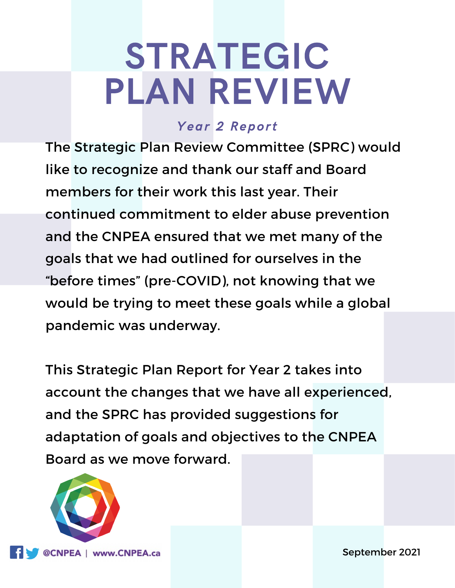# STRATEGIC PLAN REVIEW

## Year 2 Report

The Strategic Plan Review Committee (SPRC) would like to recognize and thank our staff and Board members for their work this last year. Their continued commitment to elder abuse prevention and the CNPEA ensured that we met many of the goals that we had outlined for ourselves in the "before times" (pre-COVID), not knowing that we would be trying to meet these goals while a global pandemic was underway.

This Strategic Plan Report for Year 2 takes into account the changes that we have all experienced, and the SPRC has provided suggestions for adaptation of goals and objectives to the CNPEA Board as we move forward.



September 2021